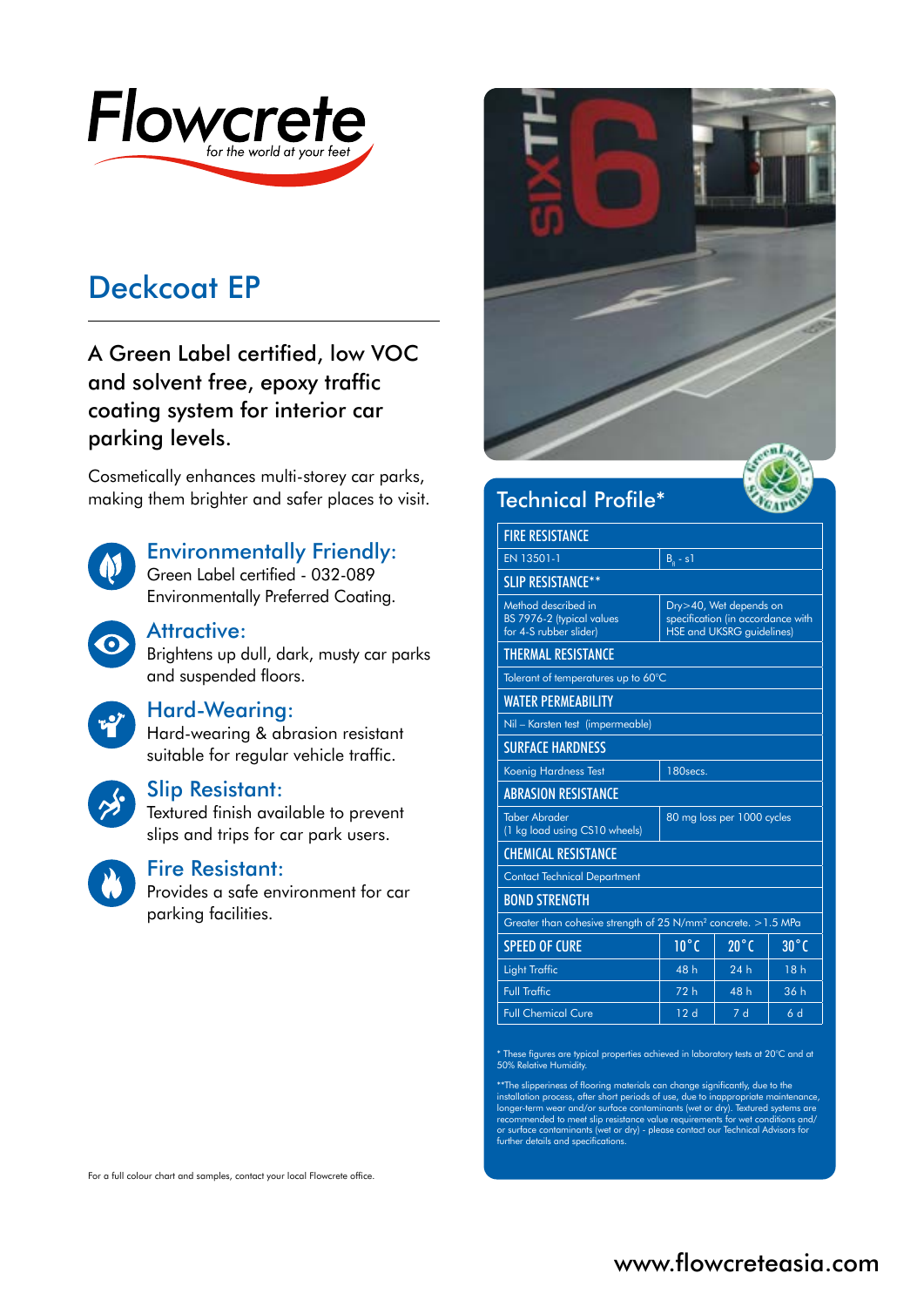

# Deckcoat EP

A Green Label certified, low VOC and solvent free, epoxy traffic coating system for interior car parking levels.

Cosmetically enhances multi-storey car parks, making them brighter and safer places to visit. Technical Profile\*



# Environmentally Friendly:

Green Label certified - 032-089 Environmentally Preferred Coating.



# Attractive:

Brightens up dull, dark, musty car parks and suspended floors.

#### Hard-Wearing:

Hard-wearing & abrasion resistant suitable for regular vehicle traffic.



#### Slip Resistant:

Textured finish available to prevent slips and trips for car park users.



#### Fire Resistant:

Provides a safe environment for car parking facilities.



| <b>FIRE RESISTANCE</b>                                                     |                                                                                                 |                |                |
|----------------------------------------------------------------------------|-------------------------------------------------------------------------------------------------|----------------|----------------|
| EN 13501-1                                                                 | $Ba - s1$                                                                                       |                |                |
| <b>SLIP RESISTANCE**</b>                                                   |                                                                                                 |                |                |
| Method described in<br>BS 7976-2 (typical values<br>for 4-S rubber slider) | Dry>40, Wet depends on<br>specification (in accordance with<br><b>HSE and UKSRG guidelines)</b> |                |                |
| <b>THERMAL RESISTANCE</b>                                                  |                                                                                                 |                |                |
| Tolerant of temperatures up to 60°C                                        |                                                                                                 |                |                |
| <b>WATER PERMEABILITY</b>                                                  |                                                                                                 |                |                |
| Nil - Karsten test (impermeable)                                           |                                                                                                 |                |                |
| <b>SURFACE HARDNESS</b>                                                    |                                                                                                 |                |                |
| Koenig Hardness Test                                                       | 180secs.                                                                                        |                |                |
| <b>ABRASION RESISTANCE</b>                                                 |                                                                                                 |                |                |
| <b>Taber Abrader</b><br>(1 kg load using CS10 wheels)                      | 80 mg loss per 1000 cycles                                                                      |                |                |
| <b>CHEMICAL RESISTANCE</b>                                                 |                                                                                                 |                |                |
| <b>Contact Technical Department</b>                                        |                                                                                                 |                |                |
| <b>BOND STRENGTH</b>                                                       |                                                                                                 |                |                |
| Greater than cohesive strength of 25 N/mm <sup>2</sup> concrete. > 1.5 MPa |                                                                                                 |                |                |
| <b>SPEED OF CURE</b>                                                       | $10^{\circ}$ C                                                                                  | $20^{\circ}$ C | $30^{\circ}$ C |
| <b>Light Traffic</b>                                                       | 48 h                                                                                            | 24h            | 18h            |
| <b>Full Traffic</b>                                                        | 72h                                                                                             | 48 h           | 36 h           |
| <b>Full Chemical Cure</b>                                                  | 12d                                                                                             | 7d             | 6 d            |

\* These figures are typical properties achieved in laboratory tests at 20°C and at 50% Relative Humidity.

\*\*The slipperiness of flooring materials can change significantly, due to the<br>installation process, after short periods of use, due to inappropriate maintenance,<br>longer-term wear and/or surface contaminants (wet or dry). T or surface contaminants (wet or dry) - please contact our Technical Advisors for further details and specifications.

For a full colour chart and samples, contact your local Flowcrete office.